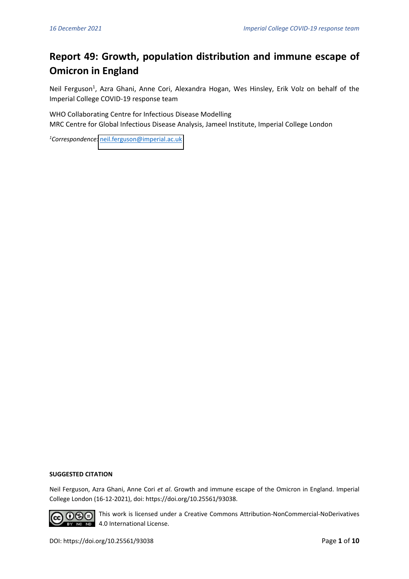# **Report 49: Growth, population distribution and immune escape of Omicron in England**

Neil Ferguson<sup>1</sup>, Azra Ghani, Anne Cori, Alexandra Hogan, Wes Hinsley, Erik Volz on behalf of the Imperial College COVID-19 response team

WHO Collaborating Centre for Infectious Disease Modelling MRC Centre for Global Infectious Disease Analysis, Jameel Institute, Imperial College London

*<sup>1</sup>Correspondence:* [neil.ferguson@imperial.ac.uk](mailto:neil.ferguson@imperial.ac.uk)

#### **SUGGESTED CITATION**

Neil Ferguson, Azra Ghani, Anne Cori *et al*. Growth and immune escape of the Omicron in England. Imperial College London (16-12-2021), doi: https://doi.org/10.25561/93038.



**GO OSS** This work is licensed under a Creative Commons Attribution-NonCommercial-NoDerivatives **EX NO ND** 4.0 International License.

DOI: https://doi.org/10.25561/93038 Page **1** of **10**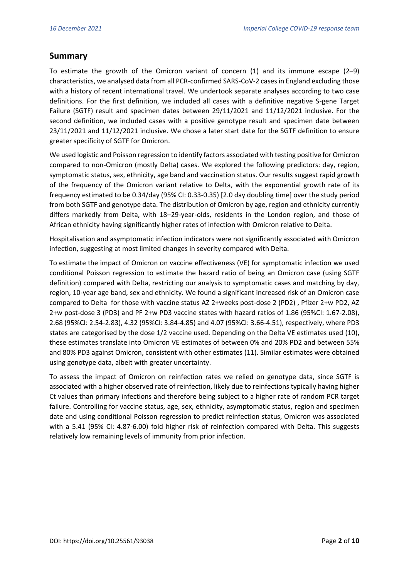## **Summary**

To estimate the growth of the Omicron variant of concern  $(1)$  and its immune escape  $(2-9)$ characteristics, we analysed data from all PCR-confirmed SARS-CoV-2 cases in England excluding those with a history of recent international travel. We undertook separate analyses according to two case definitions. For the first definition, we included all cases with a definitive negative S-gene Target Failure (SGTF) result and specimen dates between 29/11/2021 and 11/12/2021 inclusive. For the second definition, we included cases with a positive genotype result and specimen date between 23/11/2021 and 11/12/2021 inclusive. We chose a later start date for the SGTF definition to ensure greater specificity of SGTF for Omicron.

We used logistic and Poisson regression to identify factors associated with testing positive for Omicron compared to non-Omicron (mostly Delta) cases. We explored the following predictors: day, region, symptomatic status, sex, ethnicity, age band and vaccination status. Our results suggest rapid growth of the frequency of the Omicron variant relative to Delta, with the exponential growth rate of its frequency estimated to be 0.34/day (95% CI: 0.33-0.35) [2.0 day doubling time] over the study period from both SGTF and genotype data. The distribution of Omicron by age, region and ethnicity currently differs markedly from Delta, with 18–29-year-olds, residents in the London region, and those of African ethnicity having significantly higher rates of infection with Omicron relative to Delta.

Hospitalisation and asymptomatic infection indicators were not significantly associated with Omicron infection, suggesting at most limited changes in severity compared with Delta.

To estimate the impact of Omicron on vaccine effectiveness (VE) for symptomatic infection we used conditional Poisson regression to estimate the hazard ratio of being an Omicron case (using SGTF definition) compared with Delta, restricting our analysis to symptomatic cases and matching by day, region, 10-year age band, sex and ethnicity. We found a significant increased risk of an Omicron case compared to Delta for those with vaccine status AZ 2+weeks post-dose 2 (PD2) , Pfizer 2+w PD2, AZ 2+w post-dose 3 (PD3) and PF 2+w PD3 vaccine states with hazard ratios of 1.86 (95%CI: 1.67-2.08), 2.68 (95%CI: 2.54-2.83), 4.32 (95%CI: 3.84-4.85) and 4.07 (95%CI: 3.66-4.51), respectively, where PD3 states are categorised by the dose 1/2 vaccine used. Depending on the Delta VE estimates used (10), these estimates translate into Omicron VE estimates of between 0% and 20% PD2 and between 55% and 80% PD3 against Omicron, consistent with other estimates (11). Similar estimates were obtained using genotype data, albeit with greater uncertainty.

To assess the impact of Omicron on reinfection rates we relied on genotype data, since SGTF is associated with a higher observed rate of reinfection, likely due to reinfections typically having higher Ct values than primary infections and therefore being subject to a higher rate of random PCR target failure. Controlling for vaccine status, age, sex, ethnicity, asymptomatic status, region and specimen date and using conditional Poisson regression to predict reinfection status, Omicron was associated with a 5.41 (95% CI: 4.87-6.00) fold higher risk of reinfection compared with Delta. This suggests relatively low remaining levels of immunity from prior infection.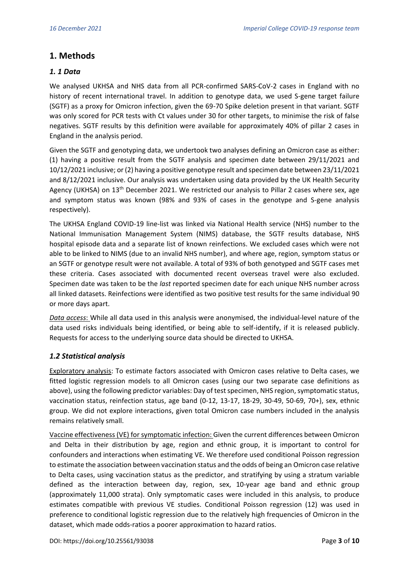## **1. Methods**

#### *1. 1 Data*

We analysed UKHSA and NHS data from all PCR-confirmed SARS-CoV-2 cases in England with no history of recent international travel. In addition to genotype data, we used S-gene target failure (SGTF) as a proxy for Omicron infection, given the 69-70 Spike deletion present in that variant. SGTF was only scored for PCR tests with Ct values under 30 for other targets, to minimise the risk of false negatives. SGTF results by this definition were available for approximately 40% of pillar 2 cases in England in the analysis period.

Given the SGTF and genotyping data, we undertook two analyses defining an Omicron case as either: (1) having a positive result from the SGTF analysis and specimen date between 29/11/2021 and 10/12/2021 inclusive; or(2) having a positive genotype result and specimen date between 23/11/2021 and 8/12/2021 inclusive. Our analysis was undertaken using data provided by the UK Health Security Agency (UKHSA) on  $13<sup>th</sup>$  December 2021. We restricted our analysis to Pillar 2 cases where sex, age and symptom status was known (98% and 93% of cases in the genotype and S-gene analysis respectively).

The UKHSA England COVID-19 line-list was linked via National Health service (NHS) number to the National Immunisation Management System (NIMS) database, the SGTF results database, NHS hospital episode data and a separate list of known reinfections. We excluded cases which were not able to be linked to NIMS (due to an invalid NHS number), and where age, region, symptom status or an SGTF or genotype result were not available. A total of 93% of both genotyped and SGTF cases met these criteria. Cases associated with documented recent overseas travel were also excluded. Specimen date was taken to be the *last* reported specimen date for each unique NHS number across all linked datasets. Reinfections were identified as two positive test results for the same individual 90 or more days apart.

*Data access*: While all data used in this analysis were anonymised, the individual-level nature of the data used risks individuals being identified, or being able to self-identify, if it is released publicly. Requests for access to the underlying source data should be directed to UKHSA.

#### *1.2 Statistical analysis*

Exploratory analysis: To estimate factors associated with Omicron cases relative to Delta cases, we fitted logistic regression models to all Omicron cases (using our two separate case definitions as above), using the following predictor variables: Day of test specimen, NHS region, symptomatic status, vaccination status, reinfection status, age band (0-12, 13-17, 18-29, 30-49, 50-69, 70+), sex, ethnic group. We did not explore interactions, given total Omicron case numbers included in the analysis remains relatively small.

Vaccine effectiveness (VE) for symptomatic infection: Given the current differences between Omicron and Delta in their distribution by age, region and ethnic group, it is important to control for confounders and interactions when estimating VE. We therefore used conditional Poisson regression to estimate the association between vaccination status and the odds of being an Omicron case relative to Delta cases, using vaccination status as the predictor, and stratifying by using a stratum variable defined as the interaction between day, region, sex, 10-year age band and ethnic group (approximately 11,000 strata). Only symptomatic cases were included in this analysis, to produce estimates compatible with previous VE studies. Conditional Poisson regression (12) was used in preference to conditional logistic regression due to the relatively high frequencies of Omicron in the dataset, which made odds-ratios a poorer approximation to hazard ratios.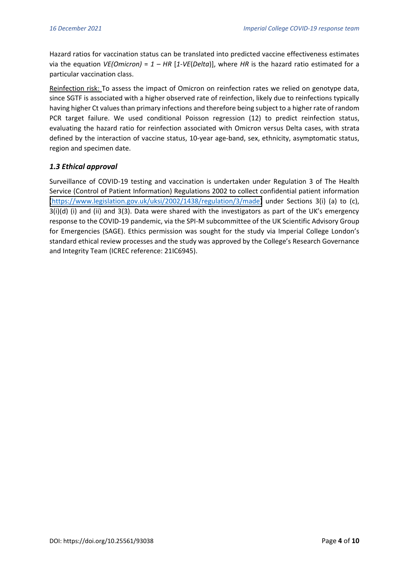Hazard ratios for vaccination status can be translated into predicted vaccine effectiveness estimates via the equation *VE(Omicron)* = *1 – HR* [*1-VE*(*Delta*)], where *HR* is the hazard ratio estimated for a particular vaccination class.

Reinfection risk: To assess the impact of Omicron on reinfection rates we relied on genotype data, since SGTF is associated with a higher observed rate of reinfection, likely due to reinfections typically having higher Ct values than primary infections and therefore being subject to a higher rate of random PCR target failure. We used conditional Poisson regression (12) to predict reinfection status, evaluating the hazard ratio for reinfection associated with Omicron versus Delta cases, with strata defined by the interaction of vaccine status, 10-year age-band, sex, ethnicity, asymptomatic status, region and specimen date.

## *1.3 Ethical approval*

Surveillance of COVID-19 testing and vaccination is undertaken under Regulation 3 of The Health Service (Control of Patient Information) Regulations 2002 to collect confidential patient information [\(https://www.legislation.gov.uk/uksi/2002/1438/regulation/3/made\)](https://www.legislation.gov.uk/uksi/2002/1438/regulation/3/made) under Sections 3(i) (a) to (c),  $3(i)(d)$  (i) and (ii) and  $3(3)$ . Data were shared with the investigators as part of the UK's emergency response to the COVID-19 pandemic, via the SPI-M subcommittee of the UK Scientific Advisory Group for Emergencies (SAGE). Ethics permission was sought for the study via Imperial College London's standard ethical review processes and the study was approved by the College's Research Governance and Integrity Team (ICREC reference: 21IC6945).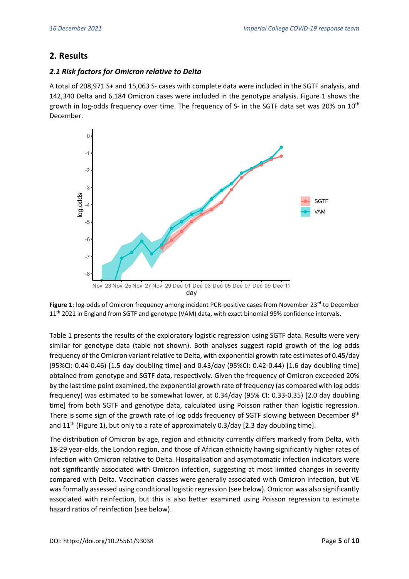# **2. Results**

#### *2.1 Risk factors for Omicron relative to Delta*

A total of 208,971 S+ and 15,063 S- cases with complete data were included in the SGTF analysis, and 142,340 Delta and 6,184 Omicron cases were included in the genotype analysis. Figure 1 shows the growth in log-odds frequency over time. The frequency of S- in the SGTF data set was 20% on  $10<sup>th</sup>$ December.



Figure 1: log-odds of Omicron frequency among incident PCR-positive cases from November 23<sup>rd</sup> to December 11<sup>th</sup> 2021 in England from SGTF and genotype (VAM) data, with exact binomial 95% confidence intervals.

Table 1 presents the results of the exploratory logistic regression using SGTF data. Results were very similar for genotype data (table not shown). Both analyses suggest rapid growth of the log odds frequency of the Omicron variant relative to Delta, with exponential growth rate estimates of 0.45/day (95%CI: 0.44-0.46) [1.5 day doubling time] and 0.43/day (95%CI: 0.42-0.44) [1.6 day doubling time] obtained from genotype and SGTF data, respectively. Given the frequency of Omicron exceeded 20% by the last time point examined, the exponential growth rate of frequency (as compared with log odds frequency) was estimated to be somewhat lower, at 0.34/day (95% CI: 0.33-0.35) [2.0 day doubling time] from both SGTF and genotype data, calculated using Poisson rather than logistic regression. There is some sign of the growth rate of log odds frequency of SGTF slowing between December 8<sup>th</sup> and 11<sup>th</sup> (Figure 1), but only to a rate of approximately 0.3/day [2.3 day doubling time].

The distribution of Omicron by age, region and ethnicity currently differs markedly from Delta, with 18-29 year-olds, the London region, and those of African ethnicity having significantly higher rates of infection with Omicron relative to Delta. Hospitalisation and asymptomatic infection indicators were not significantly associated with Omicron infection, suggesting at most limited changes in severity compared with Delta. Vaccination classes were generally associated with Omicron infection, but VE was formally assessed using conditional logistic regression (see below). Omicron was also significantly associated with reinfection, but this is also better examined using Poisson regression to estimate hazard ratios of reinfection (see below).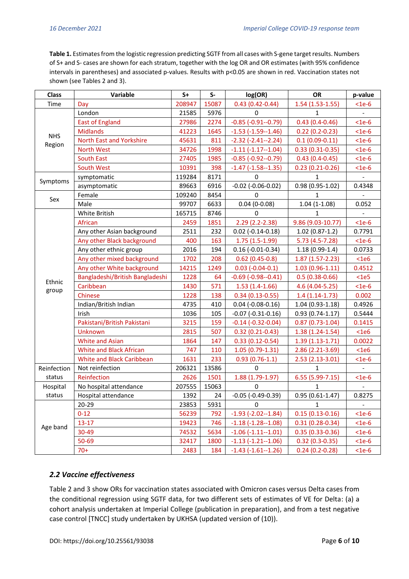**Table 1.** Estimates from the logistic regression predicting SGTF from all cases with S-gene target results. Numbers of S+ and S- cases are shown for each stratum, together with the log OR and OR estimates (with 95% confidence intervals in parentheses) and associated p-values. Results with p<0.05 are shown in red. Vaccination states not shown (see Tables 2 and 3).

| <b>Class</b>         | Variable                        | $S+$   | $S-$  | log(OR)                    | <b>OR</b>          | p-value        |
|----------------------|---------------------------------|--------|-------|----------------------------|--------------------|----------------|
| Time                 | Day                             | 208947 | 15087 | $0.43(0.42 - 0.44)$        | $1.54(1.53-1.55)$  | $<$ 1e-6       |
|                      | London                          | 21585  | 5976  | 0                          | 1                  |                |
| <b>NHS</b><br>Region | <b>East of England</b>          | 27986  | 2274  | $-0.85(-0.91-0.79)$        | $0.43(0.4 - 0.46)$ | $<$ 1e-6       |
|                      | <b>Midlands</b>                 | 41223  | 1645  | $-1.53$ $(-1.59 - 1.46)$   | $0.22(0.2-0.23)$   | $<$ 1e-6       |
|                      | North East and Yorkshire        | 45631  | 811   | $-2.32$ $(-2.41 - 2.24)$   | $0.1(0.09 - 0.11)$ | $<$ 1e-6       |
|                      | North West                      | 34726  | 1998  | $-1.11(-1.17-1.04)$        | $0.33(0.31-0.35)$  | $<$ 1e-6       |
|                      | <b>South East</b>               | 27405  | 1985  | $-0.85$ $(-0.92 - 0.79)$   | $0.43(0.4-0.45)$   | $<$ 1e-6       |
|                      | South West                      | 10391  | 398   | $-1.47(-1.58-1.35)$        | $0.23(0.21-0.26)$  | $<$ 1e-6       |
|                      | symptomatic                     | 119284 | 8171  | 0                          | $\mathbf{1}$       |                |
| Symptoms             | asymptomatic                    | 89663  | 6916  | $-0.02$ ( $-0.06 - 0.02$ ) | 0.98 (0.95-1.02)   | 0.4348         |
|                      | Female                          | 109240 | 8454  | 0                          | 1                  |                |
| Sex                  | Male                            | 99707  | 6633  | $0.04(0-0.08)$             | $1.04(1-1.08)$     | 0.052          |
|                      | White British                   | 165715 | 8746  | 0                          | 1                  |                |
|                      | African                         | 2459   | 1851  | 2.29 (2.2-2.38)            | 9.86 (9.03-10.77)  | $<$ 1e-6       |
|                      | Any other Asian background      | 2511   | 232   | $0.02$ (-0.14-0.18)        | $1.02(0.87-1.2)$   | 0.7791         |
|                      | Any other Black background      | 400    | 163   | $1.75(1.5-1.99)$           | $5.73(4.5-7.28)$   | $<$ 1e-6       |
|                      | Any other ethnic group          | 2016   | 194   | $0.16$ (-0.01-0.34)        | $1.18(0.99-1.4)$   | 0.0733         |
|                      | Any other mixed background      | 1702   | 208   | $0.62(0.45-0.8)$           | $1.87(1.57-2.23)$  | <1e6           |
|                      | Any other White background      | 14215  | 1249  | $0.03$ (-0.04-0.1)         | $1.03(0.96-1.11)$  | 0.4512         |
| Ethnic               | Bangladeshi/British Bangladeshi | 1228   | 64    | $-0.69$ ( $-0.98-0.41$ )   | $0.5(0.38-0.66)$   | $<$ 1e5        |
|                      | Caribbean                       | 1430   | 571   | $1.53(1.4-1.66)$           | 4.6 (4.04-5.25)    | $<$ 1e-6       |
| group                | Chinese                         | 1228   | 138   | $0.34(0.13 - 0.55)$        | $1.4(1.14-1.73)$   | 0.002          |
|                      | Indian/British Indian           | 4735   | 410   | $0.04$ (-0.08-0.16)        | 1.04 (0.93-1.18)   | 0.4926         |
|                      | Irish                           | 1036   | 105   | $-0.07$ $(-0.31 - 0.16)$   | $0.93(0.74-1.17)$  | 0.5444         |
|                      | Pakistani/British Pakistani     | 3215   | 159   | $-0.14$ $(-0.32 - 0.04)$   | $0.87(0.73-1.04)$  | 0.1415         |
|                      | Unknown                         | 2815   | 507   | $0.32(0.21 - 0.43)$        | $1.38(1.24-1.54)$  | <1e6           |
|                      | <b>White and Asian</b>          | 1864   | 147   | $0.33(0.12 - 0.54)$        | $1.39(1.13-1.71)$  | 0.0022         |
|                      | <b>White and Black African</b>  | 747    | 110   | $1.05(0.79-1.31)$          | 2.86 (2.21-3.69)   | <1e6           |
|                      | White and Black Caribbean       | 1631   | 233   | $0.93(0.76-1.1)$           | 2.53 (2.13-3.01)   | $<$ 1e-6       |
| Reinfection          | Not reinfection                 | 206321 | 13586 | 0                          | 1                  |                |
| status               | Reinfection                     | 2626   | 1501  | 1.88 (1.79-1.97)           | 6.55 (5.99-7.15)   | $<$ 1e-6       |
| Hospital             | No hospital attendance          | 207555 | 15063 | 0                          | 1                  |                |
| status               | Hospital attendance             | 1392   | 24    | $-0.05$ ( $-0.49-0.39$ )   | $0.95(0.61-1.47)$  | 0.8275         |
| Age band             | 20-29                           | 23853  | 5931  | 0                          | $\mathbf{1}$       | $\blacksquare$ |
|                      | $0 - 12$                        | 56239  | 792   | $-1.93$ ( $-2.02 - 1.84$ ) | $0.15(0.13-0.16)$  | $<$ 1e-6       |
|                      | $13 - 17$                       | 19423  | 746   | $-1.18(-1.28-1.08)$        | $0.31(0.28-0.34)$  | $<$ 1e-6       |
|                      | 30-49                           | 74532  | 5634  | $-1.06$ $(-1.11 - 1.01)$   | $0.35(0.33-0.36)$  | $<$ 1e-6       |
|                      | 50-69                           | 32417  | 1800  | $-1.13(-1.21-1.06)$        | $0.32(0.3-0.35)$   | $<$ 1e-6       |
|                      | $70+$                           | 2483   | 184   | $-1.43$ $(-1.61 - 1.26)$   | $0.24(0.2-0.28)$   | $<$ 1e-6       |

## *2.2 Vaccine effectiveness*

Table 2 and 3 show ORs for vaccination states associated with Omicron cases versus Delta cases from the conditional regression using SGTF data, for two different sets of estimates of VE for Delta: (a) a cohort analysis undertaken at Imperial College (publication in preparation), and from a test negative case control [TNCC] study undertaken by UKHSA (updated version of (10)).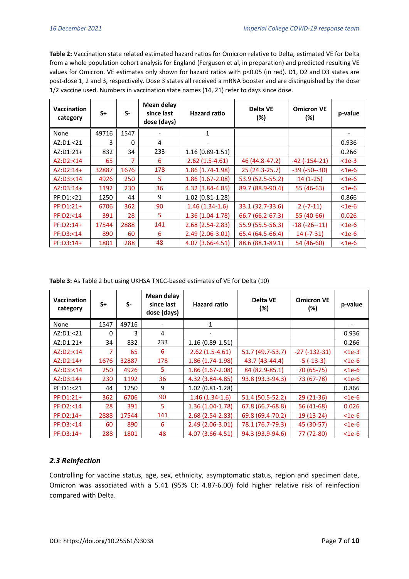**Table 2:** Vaccination state related estimated hazard ratios for Omicron relative to Delta, estimated VE for Delta from a whole population cohort analysis for England (Ferguson et al, in preparation) and predicted resulting VE values for Omicron. VE estimates only shown for hazard ratios with p<0.05 (in red). D1, D2 and D3 states are post-dose 1, 2 and 3, respectively. Dose 3 states all received a mRNA booster and are distinguished by the dose 1/2 vaccine used. Numbers in vaccination state names (14, 21) refer to days since dose.

| Vaccination<br>category | $S+$  | $S-$           | Mean delay<br>since last<br>dose (days) | <b>Hazard ratio</b> | Delta VE<br>(%)  | <b>Omicron VE</b><br>(%) | p-value  |
|-------------------------|-------|----------------|-----------------------------------------|---------------------|------------------|--------------------------|----------|
| None                    | 49716 | 1547           |                                         | 1                   |                  |                          |          |
| AZ:D1:<21               | 3     | $\mathbf{0}$   | 4                                       |                     |                  |                          | 0.936    |
| $AZ:D1:21+$             | 832   | 34             | 233                                     | $1.16(0.89-1.51)$   |                  |                          | 0.266    |
| AZ:D2: < 14             | 65    | $\overline{7}$ | 6                                       | $2.62(1.5-4.61)$    | 46 (44.8-47.2)   | $-42$ ( $-154-21$ )      | $<$ 1e-3 |
| $AZ:D2:14+$             | 32887 | 1676           | 178                                     | $1.86(1.74-1.98)$   | 25 (24.3-25.7)   | $-39$ ( $-50-30$ )       | $<$ 1e-6 |
| AZ:D3: < 14             | 4926  | 250            | 5                                       | $1.86(1.67-2.08)$   | 53.9 (52.5-55.2) | $14(1-25)$               | $<$ 1e-6 |
| $AZ:D3:14+$             | 1192  | 230            | 36                                      | 4.32 (3.84-4.85)    | 89.7 (88.9-90.4) | 55 (46-63)               | $<$ 1e-6 |
| PF:D1:<21               | 1250  | 44             | 9                                       | $1.02(0.81-1.28)$   |                  |                          | 0.866    |
| $PF: D1:21+$            | 6706  | 362            | 90                                      | $1.46(1.34-1.6)$    | 33.1 (32.7-33.6) | $2(-7-11)$               | $<$ 1e-6 |
| PF:D2:<14               | 391   | 28             | 5                                       | $1.36(1.04-1.78)$   | 66.7 (66.2-67.3) | 55 (40-66)               | 0.026    |
| PF:D2:14+               | 17544 | 2888           | 141                                     | $2.68(2.54-2.83)$   | 55.9 (55.5-56.3) | $-18(-26-11)$            | $<$ 1e-6 |
| PF:D3:<14               | 890   | 60             | 6                                       | $2.49(2.06-3.01)$   | 65.4 (64.5-66.4) | $14 (-7-31)$             | $<$ 1e-6 |
| $PF: D3:14+$            | 1801  | 288            | 48                                      | 4.07 (3.66-4.51)    | 88.6 (88.1-89.1) | 54 (46-60)               | $<$ 1e-6 |

**Table 3:** As Table 2 but using UKHSA TNCC-based estimates of VE for Delta (10)

| <b>Vaccination</b><br>category | $S+$     | $S-$  | <b>Mean delay</b><br>since last<br>dose (days) | <b>Hazard ratio</b> | <b>Delta VE</b><br>$(\%)$ | <b>Omicron VE</b><br>$(\%)$ | p-value  |
|--------------------------------|----------|-------|------------------------------------------------|---------------------|---------------------------|-----------------------------|----------|
| None                           | 1547     | 49716 |                                                |                     |                           |                             |          |
| AZ:D1:<21                      | $\Omega$ | 3     | 4                                              |                     |                           |                             | 0.936    |
| AZ:D1:21+                      | 34       | 832   | 233                                            | $1.16(0.89-1.51)$   |                           |                             | 0.266    |
| AZ:D2: <14                     | 7        | 65    | 6                                              | $2.62(1.5-4.61)$    | 51.7 (49.7-53.7)          | $-27(-132-31)$              | $<$ 1e-3 |
| $AZ:D2:14+$                    | 1676     | 32887 | 178                                            | $1.86(1.74-1.98)$   | 43.7 (43-44.4)            | $-5$ ( $-13-3$ )            | $<$ 1e-6 |
| AZ:D3: < 14                    | 250      | 4926  | 5.                                             | $1.86(1.67-2.08)$   | 84 (82.9-85.1)            | 70 (65-75)                  | $<$ 1e-6 |
| $AZ:D3:14+$                    | 230      | 1192  | 36                                             | 4.32 (3.84-4.85)    | 93.8 (93.3-94.3)          | 73 (67-78)                  | $<$ 1e-6 |
| PF:D1:<21                      | 44       | 1250  | 9                                              | $1.02(0.81 - 1.28)$ |                           |                             | 0.866    |
| $PF: D1: 21+$                  | 362      | 6706  | 90                                             | $1.46(1.34-1.6)$    | 51.4 (50.5-52.2)          | 29 (21-36)                  | $<$ 1e-6 |
| PF:D2:<14                      | 28       | 391   | 5                                              | $1.36(1.04-1.78)$   | 67.8 (66.7-68.8)          | 56 (41-68)                  | 0.026    |
| PF:D2:14+                      | 2888     | 17544 | 141                                            | $2.68(2.54-2.83)$   | 69.8 (69.4-70.2)          | 19 (13-24)                  | $<$ 1e-6 |
| PF:D3:<14                      | 60       | 890   | 6                                              | $2.49(2.06-3.01)$   | 78.1 (76.7-79.3)          | 45 (30-57)                  | $<$ 1e-6 |
| PF:D3:14+                      | 288      | 1801  | 48                                             | 4.07 (3.66-4.51)    | 94.3 (93.9-94.6)          | 77 (72-80)                  | $<$ 1e-6 |

#### *2.3 Reinfection*

Controlling for vaccine status, age, sex, ethnicity, asymptomatic status, region and specimen date, Omicron was associated with a 5.41 (95% CI: 4.87-6.00) fold higher relative risk of reinfection compared with Delta.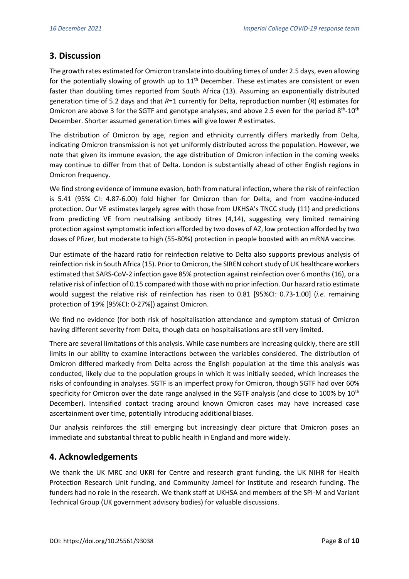# **3. Discussion**

The growth rates estimated for Omicron translate into doubling times of under 2.5 days, even allowing for the potentially slowing of growth up to  $11<sup>th</sup>$  December. These estimates are consistent or even faster than doubling times reported from South Africa (13). Assuming an exponentially distributed generation time of 5.2 days and that *R*=1 currently for Delta, reproduction number (*R*) estimates for Omicron are above 3 for the SGTF and genotype analyses, and above 2.5 even for the period  $8^{th}$ -10<sup>th</sup> December. Shorter assumed generation times will give lower *R* estimates.

The distribution of Omicron by age, region and ethnicity currently differs markedly from Delta, indicating Omicron transmission is not yet uniformly distributed across the population. However, we note that given its immune evasion, the age distribution of Omicron infection in the coming weeks may continue to differ from that of Delta. London is substantially ahead of other English regions in Omicron frequency.

We find strong evidence of immune evasion, both from natural infection, where the risk of reinfection is 5.41 (95% CI: 4.87-6.00) fold higher for Omicron than for Delta, and from vaccine-induced protection. Our VE estimates largely agree with those from UKHSA's TNCC study (11) and predictions from predicting VE from neutralising antibody titres (4,14), suggesting very limited remaining protection against symptomatic infection afforded by two doses of AZ, low protection afforded by two doses of Pfizer, but moderate to high (55-80%) protection in people boosted with an mRNA vaccine.

Our estimate of the hazard ratio for reinfection relative to Delta also supports previous analysis of reinfection risk in South Africa (15). Prior to Omicron, the SIREN cohort study of UK healthcare workers estimated that SARS-CoV-2 infection gave 85% protection against reinfection over 6 months (16), or a relative risk of infection of 0.15 compared with those with no prior infection. Our hazard ratio estimate would suggest the relative risk of reinfection has risen to 0.81 [95%CI: 0.73-1.00] (*i.e.* remaining protection of 19% [95%CI: 0-27%]) against Omicron.

We find no evidence (for both risk of hospitalisation attendance and symptom status) of Omicron having different severity from Delta, though data on hospitalisations are still very limited.

There are several limitations of this analysis. While case numbers are increasing quickly, there are still limits in our ability to examine interactions between the variables considered. The distribution of Omicron differed markedly from Delta across the English population at the time this analysis was conducted, likely due to the population groups in which it was initially seeded, which increases the risks of confounding in analyses. SGTF is an imperfect proxy for Omicron, though SGTF had over 60% specificity for Omicron over the date range analysed in the SGTF analysis (and close to 100% by  $10^{th}$ December). Intensified contact tracing around known Omicron cases may have increased case ascertainment over time, potentially introducing additional biases.

Our analysis reinforces the still emerging but increasingly clear picture that Omicron poses an immediate and substantial threat to public health in England and more widely.

## **4. Acknowledgements**

We thank the UK MRC and UKRI for Centre and research grant funding, the UK NIHR for Health Protection Research Unit funding, and Community Jameel for Institute and research funding. The funders had no role in the research. We thank staff at UKHSA and members of the SPI-M and Variant Technical Group (UK government advisory bodies) for valuable discussions.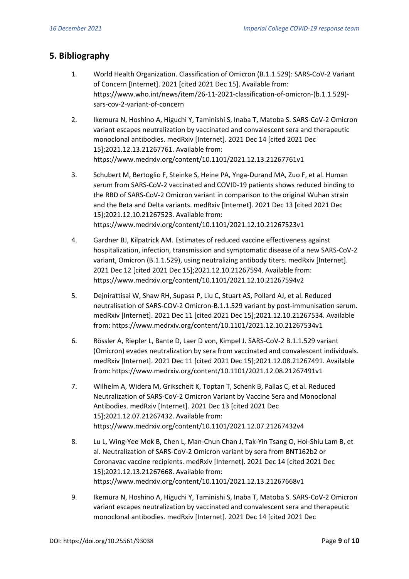# **5. Bibliography**

- 1. World Health Organization. Classification of Omicron (B.1.1.529): SARS-CoV-2 Variant of Concern [Internet]. 2021 [cited 2021 Dec 15]. Available from: https://www.who.int/news/item/26-11-2021-classification-of-omicron-(b.1.1.529) sars-cov-2-variant-of-concern
- 2. Ikemura N, Hoshino A, Higuchi Y, Taminishi S, Inaba T, Matoba S. SARS-CoV-2 Omicron variant escapes neutralization by vaccinated and convalescent sera and therapeutic monoclonal antibodies. medRxiv [Internet]. 2021 Dec 14 [cited 2021 Dec 15];2021.12.13.21267761. Available from: https://www.medrxiv.org/content/10.1101/2021.12.13.21267761v1
- 3. Schubert M, Bertoglio F, Steinke S, Heine PA, Ynga-Durand MA, Zuo F, et al. Human serum from SARS-CoV-2 vaccinated and COVID-19 patients shows reduced binding to the RBD of SARS-CoV-2 Omicron variant in comparison to the original Wuhan strain and the Beta and Delta variants. medRxiv [Internet]. 2021 Dec 13 [cited 2021 Dec 15];2021.12.10.21267523. Available from: https://www.medrxiv.org/content/10.1101/2021.12.10.21267523v1
- 4. Gardner BJ, Kilpatrick AM. Estimates of reduced vaccine effectiveness against hospitalization, infection, transmission and symptomatic disease of a new SARS-CoV-2 variant, Omicron (B.1.1.529), using neutralizing antibody titers. medRxiv [Internet]. 2021 Dec 12 [cited 2021 Dec 15];2021.12.10.21267594. Available from: https://www.medrxiv.org/content/10.1101/2021.12.10.21267594v2
- 5. Dejnirattisai W, Shaw RH, Supasa P, Liu C, Stuart AS, Pollard AJ, et al. Reduced neutralisation of SARS-COV-2 Omicron-B.1.1.529 variant by post-immunisation serum. medRxiv [Internet]. 2021 Dec 11 [cited 2021 Dec 15];2021.12.10.21267534. Available from: https://www.medrxiv.org/content/10.1101/2021.12.10.21267534v1
- 6. Rössler A, Riepler L, Bante D, Laer D von, Kimpel J. SARS-CoV-2 B.1.1.529 variant (Omicron) evades neutralization by sera from vaccinated and convalescent individuals. medRxiv [Internet]. 2021 Dec 11 [cited 2021 Dec 15];2021.12.08.21267491. Available from: https://www.medrxiv.org/content/10.1101/2021.12.08.21267491v1
- 7. Wilhelm A, Widera M, Grikscheit K, Toptan T, Schenk B, Pallas C, et al. Reduced Neutralization of SARS-CoV-2 Omicron Variant by Vaccine Sera and Monoclonal Antibodies. medRxiv [Internet]. 2021 Dec 13 [cited 2021 Dec 15];2021.12.07.21267432. Available from: https://www.medrxiv.org/content/10.1101/2021.12.07.21267432v4
- 8. Lu L, Wing-Yee Mok B, Chen L, Man-Chun Chan J, Tak-Yin Tsang O, Hoi-Shiu Lam B, et al. Neutralization of SARS-CoV-2 Omicron variant by sera from BNT162b2 or Coronavac vaccine recipients. medRxiv [Internet]. 2021 Dec 14 [cited 2021 Dec 15];2021.12.13.21267668. Available from: https://www.medrxiv.org/content/10.1101/2021.12.13.21267668v1
- 9. Ikemura N, Hoshino A, Higuchi Y, Taminishi S, Inaba T, Matoba S. SARS-CoV-2 Omicron variant escapes neutralization by vaccinated and convalescent sera and therapeutic monoclonal antibodies. medRxiv [Internet]. 2021 Dec 14 [cited 2021 Dec